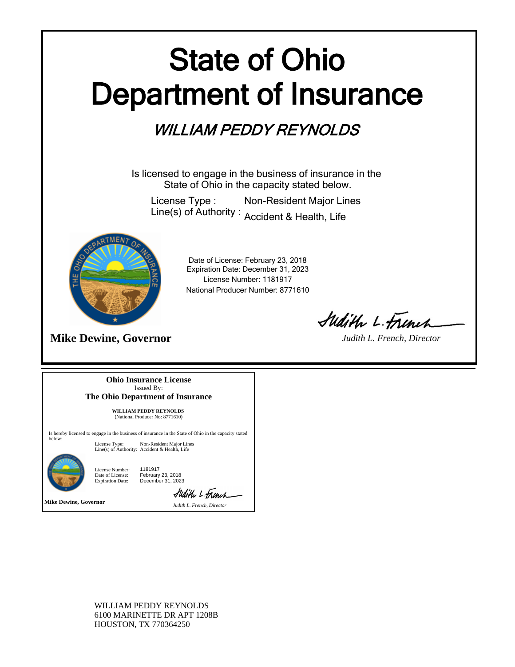## State of Ohio Department of Insurance

## WILLIAM PEDDY REYNOLDS

Is licensed to engage in the business of insurance in the State of Ohio in the capacity stated below.

License Type : Line(s) of Authority : Accident & Health, Life Non-Resident Major Lines



**Mike Dewine, Governor**

Expiration Date: December 31, 2023 License Number: 1181917 National Producer Number: 8771610 Date of License: February 23, 2018

Sudith L. Frinch

*Judith L. French, Director*

**Ohio Insurance License** Issued By: **The Ohio Department of Insurance**

> **WILLIAM PEDDY REYNOLDS**  (National Producer No: 8771610)

Is hereby licensed to engage in the business of insurance in the State of Ohio in the capacity stated below:

License Type: Non-Resident Major Lines Line(s) of Authority: Accident & Health, Life



License Number: Date of License: Expiration Date: 1181917 February 23, 2018 December 31, 2023

**Mike Dewine, Governor** *Judith L. French, Director*

Sudith L. French

WILLIAM PEDDY REYNOLDS 6100 MARINETTE DR APT 1208B HOUSTON, TX 770364250